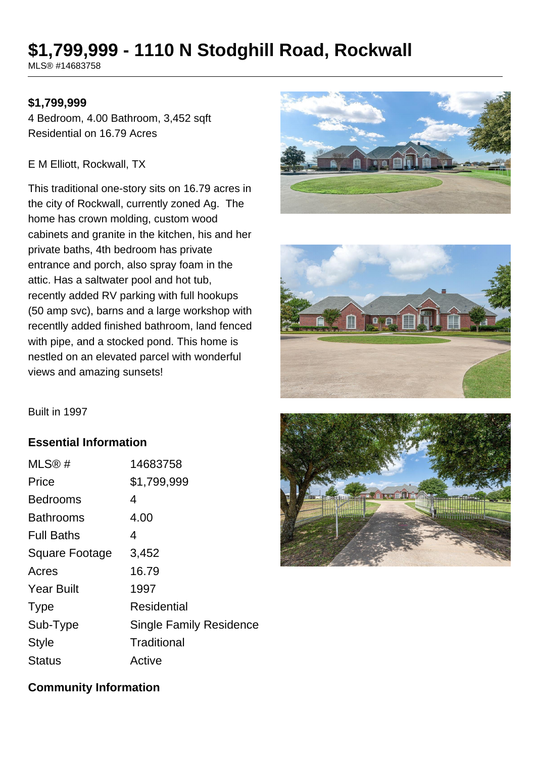# **\$1,799,999 - 1110 N Stodghill Road, Rockwall**

MLS® #14683758

#### **\$1,799,999**

4 Bedroom, 4.00 Bathroom, 3,452 sqft Residential on 16.79 Acres

#### E M Elliott, Rockwall, TX

This traditional one-story sits on 16.79 acres in the city of Rockwall, currently zoned Ag. The home has crown molding, custom wood cabinets and granite in the kitchen, his and her private baths, 4th bedroom has private entrance and porch, also spray foam in the attic. Has a saltwater pool and hot tub, recently added RV parking with full hookups (50 amp svc), barns and a large workshop with recentlly added finished bathroom, land fenced with pipe, and a stocked pond. This home is nestled on an elevated parcel with wonderful views and amazing sunsets!





Built in 1997

### **Essential Information**

| MLS®#                 | 14683758                       |
|-----------------------|--------------------------------|
| Price                 | \$1,799,999                    |
| <b>Bedrooms</b>       | 4                              |
| <b>Bathrooms</b>      | 4.00                           |
| <b>Full Baths</b>     | 4                              |
| <b>Square Footage</b> | 3,452                          |
| Acres                 | 16.79                          |
| <b>Year Built</b>     | 1997                           |
| <b>Type</b>           | Residential                    |
| Sub-Type              | <b>Single Family Residence</b> |
| <b>Style</b>          | Traditional                    |
| Status                | Active                         |



### **Community Information**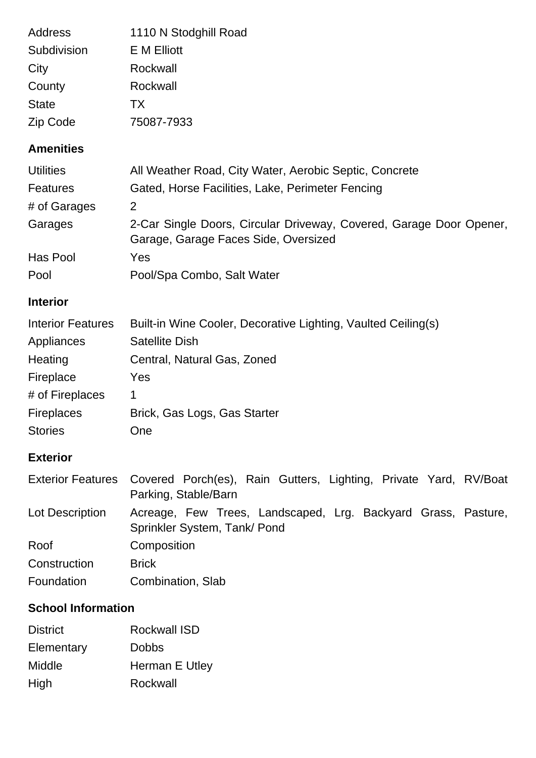| Address                   | 1110 N Stodghill Road                                                                                       |
|---------------------------|-------------------------------------------------------------------------------------------------------------|
| Subdivision               | <b>E</b> M Elliott                                                                                          |
| City                      | Rockwall                                                                                                    |
| County                    | Rockwall                                                                                                    |
| <b>State</b>              | <b>TX</b>                                                                                                   |
| Zip Code                  | 75087-7933                                                                                                  |
| <b>Amenities</b>          |                                                                                                             |
| <b>Utilities</b>          | All Weather Road, City Water, Aerobic Septic, Concrete                                                      |
| <b>Features</b>           | Gated, Horse Facilities, Lake, Perimeter Fencing                                                            |
| # of Garages              | 2                                                                                                           |
| Garages                   | 2-Car Single Doors, Circular Driveway, Covered, Garage Door Opener,<br>Garage, Garage Faces Side, Oversized |
| Has Pool                  | Yes                                                                                                         |
| Pool                      | Pool/Spa Combo, Salt Water                                                                                  |
| <b>Interior</b>           |                                                                                                             |
| <b>Interior Features</b>  | Built-in Wine Cooler, Decorative Lighting, Vaulted Ceiling(s)                                               |
| Appliances                | <b>Satellite Dish</b>                                                                                       |
| Heating                   | Central, Natural Gas, Zoned                                                                                 |
| Fireplace                 | Yes                                                                                                         |
| # of Fireplaces           | 1                                                                                                           |
| <b>Fireplaces</b>         | Brick, Gas Logs, Gas Starter                                                                                |
| <b>Stories</b>            | One                                                                                                         |
| <b>Exterior</b>           |                                                                                                             |
| <b>Exterior Features</b>  | Covered Porch(es), Rain Gutters, Lighting, Private Yard, RV/Boat<br>Parking, Stable/Barn                    |
| Lot Description           | Acreage, Few Trees, Landscaped, Lrg. Backyard Grass, Pasture,<br>Sprinkler System, Tank/ Pond               |
| Roof                      | Composition                                                                                                 |
| Construction              | <b>Brick</b>                                                                                                |
| Foundation                | Combination, Slab                                                                                           |
| <b>School Information</b> |                                                                                                             |
| <b>District</b>           | <b>Rockwall ISD</b>                                                                                         |
|                           |                                                                                                             |

Elementary Dobbs Middle **Herman E Utley** High Rockwall